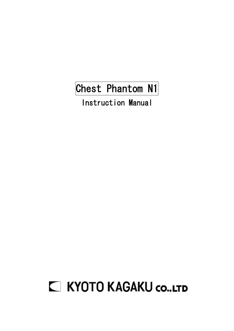# Chest Phantom N1

Instruction Manual

# **C KYOTO KAGAKU CO..LTD**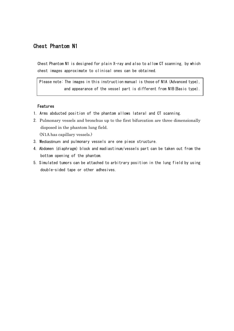### Chest Phantom N1

Chest Phantom N1 is designed for plain X-ray and also to allow CT scanning, by which chest images approximate to clinical ones can be obtained.

Please note: The images in this instruction manual is those of N1A (Advanced type), and appearance of the vessel part is different from N1B(Basic type).

#### Features

- 1. Arms abducted position of the phantom allows lateral and CT scanning.
- 2. Pulmonary vessels and bronchus up to the first bifurcation are three dimensionally disposed in the phantom lung field. (N1A has capillary vessels.)
- 3. Mediastinum and pulmonary vessels are one piece structure.
- 4. Abdomen (diaphragm) block and madiastinum/vessels part can be taken out from the bottom opening of the phantom.
- 5. Simulated tumors can be attached to arbitrary position in the lung field by using double-sided tape or other adhesives.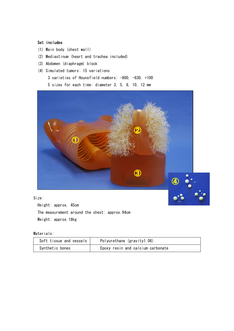#### Set includes

- (1) Main body (chest wall)
- (2) Mediastinum (heart and trachea included)
- (3) Abdomen (diaphragm) block
- (4) Simulated tumors: 15 variations
	- 3 varieties of Hounsfield numbers: -800, -630, +100

5 sizes for each time: diameter 3, 5, 8, 10, 12 mm



#### Size:

Height: approx. 45cm The measurement around the chest: approx.94cm Weight: approx.18kg

#### Materials:

| Soft tissue and vessels | Polyurethane (gravity1.06)        |  |
|-------------------------|-----------------------------------|--|
| Synthetic bones         | Epoxy resin and calcium carbonate |  |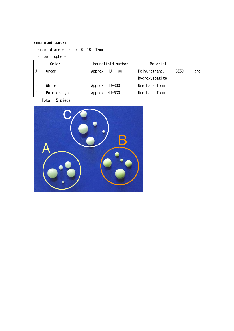### Simulated tumors

Size: diameter 3, 5, 8, 10, 12mm

Shape: sphere

|                | Color       | Hounsfield number | Material                     |
|----------------|-------------|-------------------|------------------------------|
| ΙÅ             | Cream       | Approx. HU+100    | Polyurethane,<br>SZ50<br>and |
|                |             |                   | hydroxyapatite               |
| l B            | White       | Approx. HU-800    | Urethane foam                |
| $\overline{c}$ | Pale orange | Approx. HU-630    | Urethane foam                |

Total 15 piece

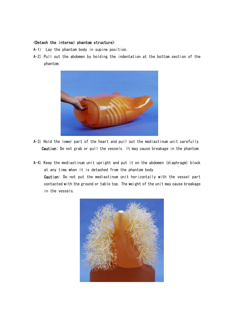#### <Detach the internal phantom structure>

- A-1) Lay the phantom body in supine position.
- A-2) Pull out the abdomen by holding the indentation at the bottom section of the phantom.



- A-3) Hold the lower part of the heart and pull out the mediastinum unit carefully. Caution: Do not grab or pull the vessels. It may cause breakage in the phantom.
- A-4) Keep the mediastinum unit upright and put it on the abdomen (diaphragm) block at any time when it is detached from the phantom body. Caution: Do not put the mediastinum unit horizontally with the vessel part contacted with the ground or table top. The weight of the unit may cause breakage in the vessels.

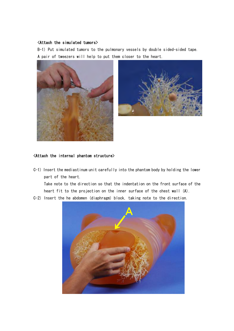#### <Attach the simulated tumors>

B-1) Put simulated tumors to the pulmonary vessels by double sided-sided tape. A pair of tweezers will help to put them closer to the heart.





#### <Attach the internal phantom structure>

C-1) Insert the mediastinum unit carefully into the phantom body by holding the lower part of the heart.

Take note to the direction so that the indentation on the front surface of the heart fit to the projection on the inner surface of the chest wall (A).

C-2) Insert the he abdomen (diaphragm) block, taking note to the direction.

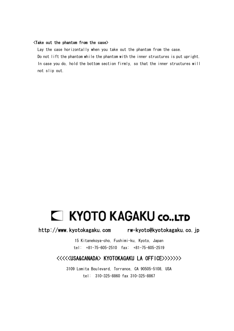#### <Take out the phantom from the case>

Lay the case horizontally when you take out the phantom from the case. Do not lift the phantom while the phantom with the inner structures is put upright. In case you do, hold the bottom section firmly, so that the inner structures will not slip out.

# **E KYOTO KAGAKU CO..LTD**

http://www.kyotokagaku.com rw-kyoto@kyotokagaku.co.jp

15 Kitanekoya-cho, Fushimi-ku, Kyoto, Japan tel: +81-75-605-2510 fax: +81-75-605-2519

### <<<<<USA&CANADA> KYOTOKAGAKU LA OFFICE>>>>>>>

3109 Lomita Boulevard, Torrance, CA 90505-5108, USA tel: 310-325-8860 fax 310-325-8867